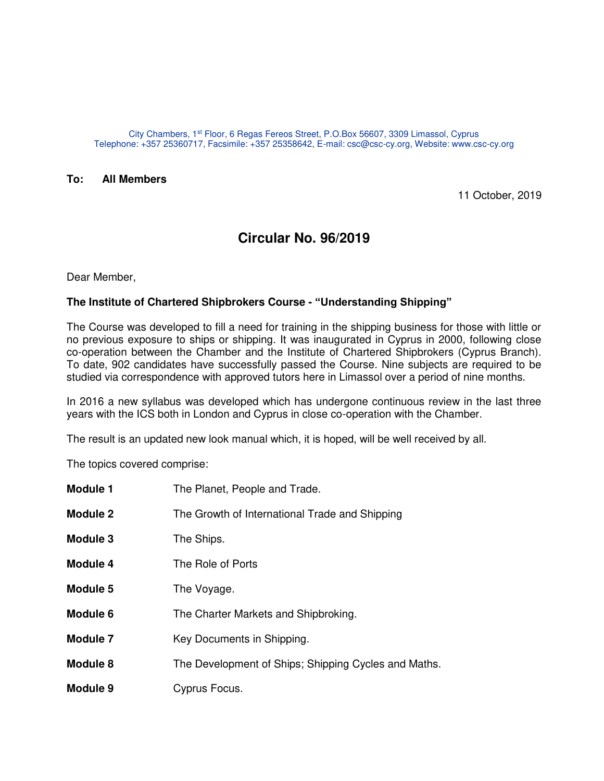City Chambers, 1st Floor, 6 Regas Fereos Street, P.O.Box 56607, 3309 Limassol, Cyprus Telephone: +357 25360717, Facsimile: +357 25358642, E-mail: csc@csc-cy.org, Website: www.csc-cy.org

## **To: All Members**

11 October, 2019

## **Circular No. 96/2019**

Dear Member,

## **The Institute of Chartered Shipbrokers Course - "Understanding Shipping"**

The Course was developed to fill a need for training in the shipping business for those with little or no previous exposure to ships or shipping. It was inaugurated in Cyprus in 2000, following close co-operation between the Chamber and the Institute of Chartered Shipbrokers (Cyprus Branch). To date, 902 candidates have successfully passed the Course. Nine subjects are required to be studied via correspondence with approved tutors here in Limassol over a period of nine months.

In 2016 a new syllabus was developed which has undergone continuous review in the last three years with the ICS both in London and Cyprus in close co-operation with the Chamber.

The result is an updated new look manual which, it is hoped, will be well received by all.

The topics covered comprise:

| <b>Module 1</b> | The Planet, People and Trade.                        |
|-----------------|------------------------------------------------------|
| <b>Module 2</b> | The Growth of International Trade and Shipping       |
| Module 3        | The Ships.                                           |
| Module 4        | The Role of Ports                                    |
| Module 5        | The Voyage.                                          |
| Module 6        | The Charter Markets and Shipbroking.                 |
| Module 7        | Key Documents in Shipping.                           |
| Module 8        | The Development of Ships; Shipping Cycles and Maths. |
| Module 9        | Cyprus Focus.                                        |